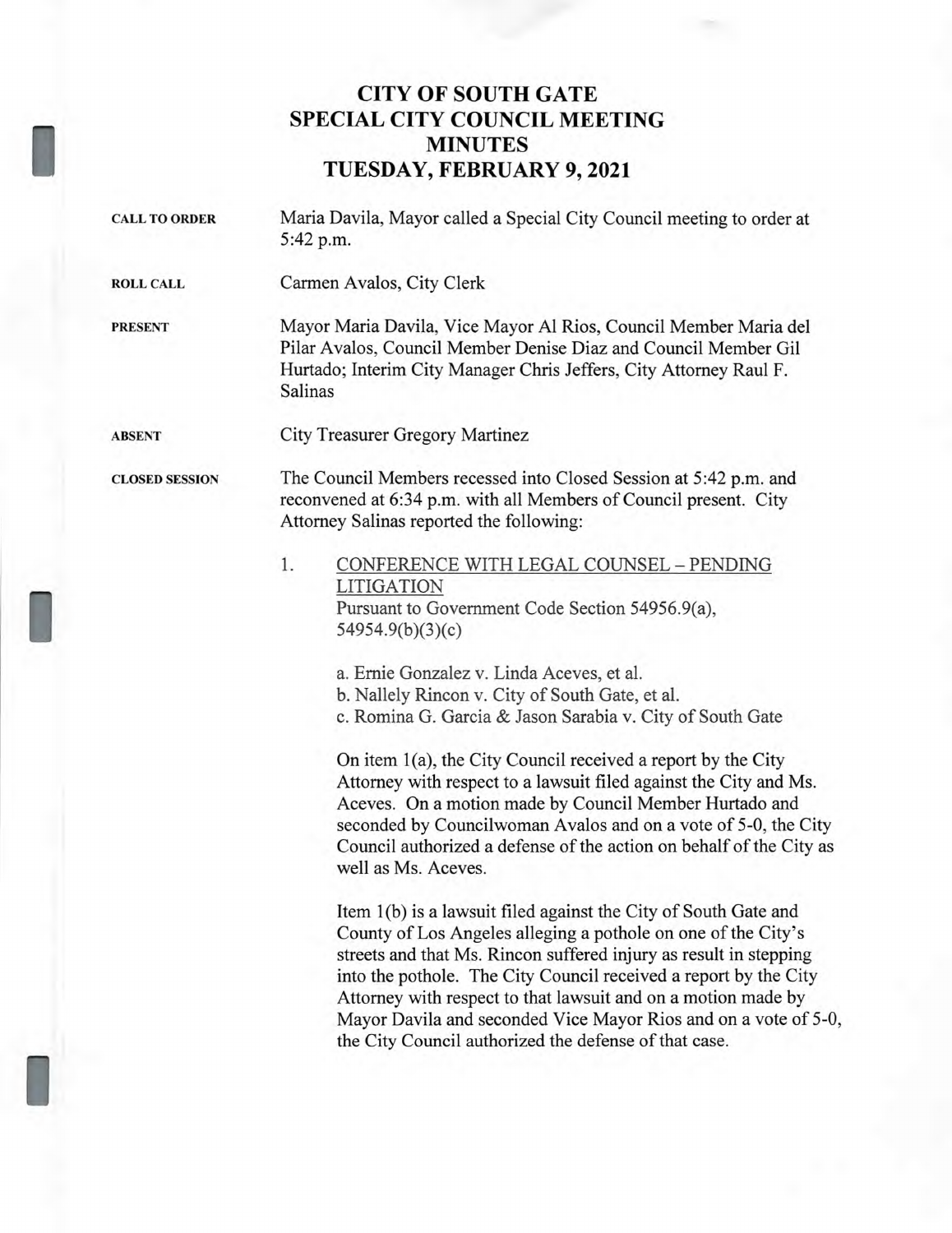## **CITY OF SOUTH GATE SPECIAL CITY COUNCIL MEETING MINUTES TUESDAY, FEBRUARY 9, 2021**

| <b>CALL TO ORDER</b>  | Maria Davila, Mayor called a Special City Council meeting to order at<br>5:42 p.m.                                                                                                                                                                                                                                                                                                                                                                                                                                                                                                                                                                                                                                                                                                                                                                                                                                                                                                                                                                                                                                                       |
|-----------------------|------------------------------------------------------------------------------------------------------------------------------------------------------------------------------------------------------------------------------------------------------------------------------------------------------------------------------------------------------------------------------------------------------------------------------------------------------------------------------------------------------------------------------------------------------------------------------------------------------------------------------------------------------------------------------------------------------------------------------------------------------------------------------------------------------------------------------------------------------------------------------------------------------------------------------------------------------------------------------------------------------------------------------------------------------------------------------------------------------------------------------------------|
| <b>ROLL CALL</b>      | Carmen Avalos, City Clerk                                                                                                                                                                                                                                                                                                                                                                                                                                                                                                                                                                                                                                                                                                                                                                                                                                                                                                                                                                                                                                                                                                                |
| <b>PRESENT</b>        | Mayor Maria Davila, Vice Mayor Al Rios, Council Member Maria del<br>Pilar Avalos, Council Member Denise Diaz and Council Member Gil<br>Hurtado; Interim City Manager Chris Jeffers, City Attorney Raul F.<br>Salinas                                                                                                                                                                                                                                                                                                                                                                                                                                                                                                                                                                                                                                                                                                                                                                                                                                                                                                                     |
| <b>ABSENT</b>         | City Treasurer Gregory Martinez                                                                                                                                                                                                                                                                                                                                                                                                                                                                                                                                                                                                                                                                                                                                                                                                                                                                                                                                                                                                                                                                                                          |
| <b>CLOSED SESSION</b> | The Council Members recessed into Closed Session at 5:42 p.m. and<br>reconvened at 6:34 p.m. with all Members of Council present. City<br>Attorney Salinas reported the following:                                                                                                                                                                                                                                                                                                                                                                                                                                                                                                                                                                                                                                                                                                                                                                                                                                                                                                                                                       |
|                       | 1.<br>CONFERENCE WITH LEGAL COUNSEL - PENDING<br>LITIGATION<br>Pursuant to Government Code Section 54956.9(a),<br>54954.9(b)(3)(c)<br>a. Ernie Gonzalez v. Linda Aceves, et al.<br>b. Nallely Rincon v. City of South Gate, et al.<br>c. Romina G. Garcia & Jason Sarabia v. City of South Gate<br>On item 1(a), the City Council received a report by the City<br>Attorney with respect to a lawsuit filed against the City and Ms.<br>Aceves. On a motion made by Council Member Hurtado and<br>seconded by Councilwoman Avalos and on a vote of 5-0, the City<br>Council authorized a defense of the action on behalf of the City as<br>well as Ms. Aceves.<br>Item 1(b) is a lawsuit filed against the City of South Gate and<br>County of Los Angeles alleging a pothole on one of the City's<br>streets and that Ms. Rincon suffered injury as result in stepping<br>into the pothole. The City Council received a report by the City<br>Attorney with respect to that lawsuit and on a motion made by<br>Mayor Davila and seconded Vice Mayor Rios and on a vote of 5-0,<br>the City Council authorized the defense of that case. |
|                       |                                                                                                                                                                                                                                                                                                                                                                                                                                                                                                                                                                                                                                                                                                                                                                                                                                                                                                                                                                                                                                                                                                                                          |